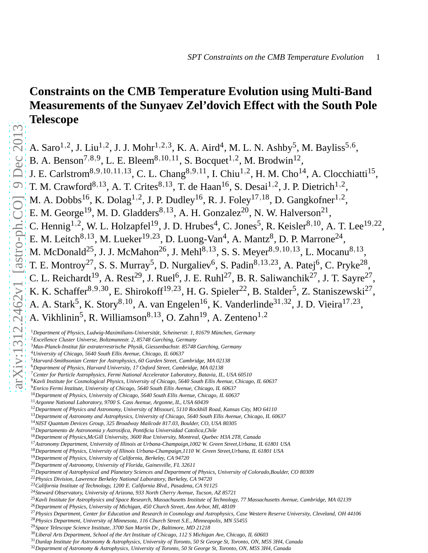# **Constraints on the CMB Temperature Evolution using Multi-Band Measurements of the Sunyaev Zel'dovich Effect with the South Pole Telescope**

A. Saro<sup>1,2</sup>, J. Liu<sup>1,2</sup>, J. J. Mohr<sup>1,2,3</sup>, K. A. Aird<sup>4</sup>, M. L. N. Ashby<sup>5</sup>, M. Bayliss<sup>5,6</sup> A. Saro<sup>1,2</sup>, J. Liu<sup>1,2</sup>, J. J. Mohr<sup>1,2,3</sup>, K. A. Aird<sup>4</sup>, M. L. N. Ashby<sup>5</sup>, M. Bayliss<sup>5,6</sup>, B. A. Benson<sup>7,8,9</sup>, L. E. Bleem<sup>8,10,11</sup>, S. Bocquet<sup>1,2</sup>, M. Brodwin<sup>12</sup>, J. E. Carlstrom<sup>8,9,10,11,13</sup>, C. L. Chang<sup>8,9,11</sup>, I. Chiu<sup>1,2</sup> , H. M. Cho<sup>14</sup>, A. Clocchiatti<sup>15</sup>, T. M. Crawford<sup>8,13</sup>, A. T. Crites<sup>8,13</sup>, T. de Haan<sup>16</sup>, S. Desai<sup>1,2</sup>, J. P. Dietrich<sup>1,2</sup>, M. A. Dobbs<sup>16</sup>, K. Dolag<sup>1,2</sup>, J. P. Dudley<sup>16</sup>, R. J. Foley<sup>17,18</sup>, D. Gangkofner<sup>1,2</sup>, E. M. George<sup>19</sup>, M. D. Gladders<sup>8,13</sup>, A. H. Gonzalez<sup>20</sup>, N. W. Halverson<sup>21</sup>, C. Hennig<sup>1,2</sup>, W. L. Holzapfel<sup>19</sup>, J. D. Hrubes<sup>4</sup>, C. Jones<sup>5</sup> , R. Keisler $^{8,10}$ , A. T. Lee $^{19,22}$ , E. M. Leitch<sup>8,13</sup>, M. Lueker<sup>19,23</sup>, D. Luong-Van<sup>4</sup>, A. Mantz<sup>8</sup>, D. P. Marrone<sup>24</sup>, M. McDonald<sup>25</sup>, J. J. McMahon<sup>26</sup>, J. Mehl<sup>8,13</sup>, S. S. Meyer<sup>8,9,10,13</sup>, L. Mocanu<sup>8,13</sup>, T. E. Montroy<sup>27</sup>, S. S. Murray<sup>5</sup>, D. Nurgaliev<sup>6</sup>, S. Padin<sup>8,13,23</sup>, A. Patej<sup>6</sup> , C. Pryke $^{28}$ , C. L. Reichardt<sup>19</sup>, A. Rest<sup>29</sup>, J. Ruel<sup>6</sup> , J. E. Ruhl<sup>27</sup>, B. R. Saliwanchik<sup>27</sup>, J. T. Sayre<sup>27</sup>, K. K. Schaffer<sup>8,9,30</sup>, E. Shirokoff<sup>19,23</sup>, H. G. Spieler<sup>22</sup>, B. Stalder<sup>5</sup> , Z. Staniszewski $^{27}$ , A. A. Stark<sup>5</sup>, K. Story<sup>8,10</sup>, A. van Engelen<sup>16</sup>, K. Vanderlinde<sup>31,32</sup>, J. D. Vieira<sup>17,23</sup> A. A. Stark<sup>5</sup>, K. Story<sup>8,10</sup>, A. van Engelen<sup>16</sup>, K. Vanderlinde<sup>31,32</sup>, J. D. Vieira<sup>17,23</sup>, A. Vikhlinin<sup>5</sup>, R. Williamson<sup>8,13</sup>, O. Zahn<sup>19</sup>, A. Zenteno<sup>1,2</sup>

<sup>&</sup>lt;sup>1</sup>Department of Physics, Ludwig-Maximilians-Universität, Scheinerstr. 1, 81679 München, Germany

<sup>2</sup>*Excellence Cluster Universe, Boltzmannstr. 2, 85748 Garching, Germany*

<sup>&</sup>lt;sup>3</sup>Max-Planck-Institut für extraterrestrische Physik, Giessenbachstr. 85748 Garching, Germany

<sup>4</sup>*University of Chicago, 5640 South Ellis Avenue, Chicago, IL 60637*

<sup>5</sup>*Harvard-Smithsonian Center for Astrophysics, 60 Garden Street, Cambridge, MA 02138*

<sup>6</sup>*Department of Physics, Harvard University, 17 Oxford Street, Cambridge, MA 02138*

<sup>7</sup>*Center for Particle Astrophysics, Fermi National Accelerator Laboratory, Batavia, IL, USA 60510*

<sup>8</sup>*Kavli Institute for Cosmological Physics, University of Chicago, 5640 South Ellis Avenue, Chicago, IL 60637*

<sup>9</sup>*Enrico Fermi Institute, University of Chicago, 5640 South Ellis Avenue, Chicago, IL 60637*

<sup>10</sup>*Department of Physics, University of Chicago, 5640 South Ellis Avenue, Chicago, IL 60637*

<sup>11</sup>*Argonne National Laboratory, 9700 S. Cass Avenue, Argonne, IL, USA 60439*

<sup>12</sup>*Department of Physics and Astronomy, University of Missouri, 5110 Rockhill Road, Kansas City, MO 64110*

<sup>13</sup>*Department of Astronomy and Astrophysics, University of Chicago, 5640 South Ellis Avenue, Chicago, IL 60637*

<sup>14</sup>*NIST Quantum Devices Group, 325 Broadway Mailcode 817.03, Boulder, CO, USA 80305*

<sup>15</sup>*Departamento de Astronomia y Astrosifica, Pontificia Universidad Catolica,Chile*

<sup>16</sup>*Department of Physics,McGill University, 3600 Rue University, Montreal, Quebec H3A 2T8, Canada*

<sup>17</sup>*Astronomy Department, University of Illinois at Urbana-Champaign,1002 W. Green Street,Urbana, IL 61801 USA*

<sup>18</sup>*Department of Physics, University of Illinois Urbana-Champaign,1110 W. Green Street,Urbana, IL 61801 USA*

<sup>19</sup>*Department of Physics, University of California, Berkeley, CA 94720*

<sup>20</sup>*Department of Astronomy, University of Florida, Gainesville, FL 32611*

<sup>21</sup>*Department of Astrophysical and Planetary Sciences and Department of Physics, University of Colorado,Boulder, CO 80309*

<sup>22</sup>*Physics Division, Lawrence Berkeley National Laboratory, Berkeley, CA 94720*

<sup>23</sup>*California Institute of Technology, 1200 E. California Blvd., Pasadena, CA 91125*

<sup>24</sup>*Steward Observatory, University of Arizona, 933 North Cherry Avenue, Tucson, AZ 85721*

<sup>25</sup>*Kavli Institute for Astrophysics and Space Research, Massachusetts Institute of Technology, 77 Massachusetts Avenue, Cambridge, MA 02139*

<sup>26</sup>*Department of Physics, University of Michigan, 450 Church Street, Ann Arbor, MI, 48109*

<sup>27</sup>*Physics Department, Center for Education and Research in Cosmology and Astrophysics, Case Western Reserve University, Cleveland, OH 44106*

<sup>28</sup>*Physics Department, University of Minnesota, 116 Church Street S.E., Minneapolis, MN 55455*

<sup>29</sup>*Space Telescope Science Institute, 3700 San Martin Dr., Baltimore, MD 21218*

<sup>30</sup>*Liberal Arts Department, School of the Art Institute of Chicago, 112 S Michigan Ave, Chicago, IL 60603*

<sup>31</sup>*Dunlap Institute for Astronomy & Astrophysics, University of Toronto, 50 St George St, Toronto, ON, M5S 3H4, Canada*

<sup>32</sup>*Department of Astronomy & Astrophysics, University of Toronto, 50 St George St, Toronto, ON, M5S 3H4, Canada*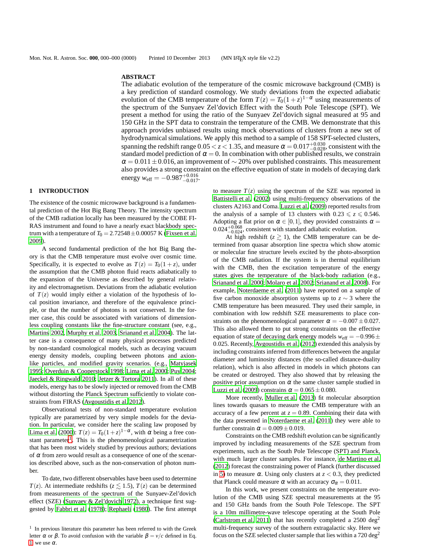## **ABSTRACT**

The adiabatic evolution of the temperature of the cosmic microwave background (CMB) is a key prediction of standard cosmology. We study deviations from the expected adiabatic evolution of the CMB temperature of the form  $T(z) = T_0(1+z)^{1-\alpha}$  using measurements of the spectrum of the Sunyaev Zel'dovich Effect with the South Pole Telescope (SPT). We present a method for using the ratio of the Sunyaev Zel'dovich signal measured at 95 and 150 GHz in the SPT data to constrain the temperature of the CMB. We demonstrate that this approach provides unbiased results using mock observations of clusters from a new set of hydrodynamical simulations. We apply this method to a sample of 158 SPT-selected clusters, spanning the redshift range  $0.05 < z < 1.35$ , and measure  $\alpha = 0.017_{-0.028}^{+0.030}$ , consistent with the standard model prediction of  $\alpha = 0$ . In combination with other published results, we constrain  $\alpha = 0.011 \pm 0.016$ , an improvement of ∼ 20% over published constraints. This measurement also provides a strong constraint on the effective equation of state in models of decaying dark energy  $w_{\text{eff}} = -0.987_{-0.017}^{+0.016}$ .

## **1 INTRODUCTION**

The existence of the cosmic microwave background is a fundamental prediction of the Hot Big Bang Theory. The intensity spectrum of the CMB radiation locally has been measured by the COBE FI-RAS instrument and found to have a nearly exact blackbody spectrum with a temperature of  $T_0 = 2.72548 \pm 0.00057$  K [\(Fixsen et al.](#page-5-0) [2009](#page-5-0)).

A second fundamental prediction of the hot Big Bang theory is that the CMB temperature must evolve over cosmic time. Specifically, it is expected to evolve as  $T(z) = T_0(1 + z)$ , under the assumption that the CMB photon fluid reacts adiabatically to the expansion of the Universe as described by general relativity and electromagnetism. Deviations from the adiabatic evolution of  $T(z)$  would imply either a violation of the hypothesis of local position invariance, and therefore of the equivalence principle, or that the number of photons is not conserved. In the former case, this could be associated with variations of dimensionless coupling constants like the fine-structure constant (see, e.g., [Martins 2002](#page-5-1), [Murphy et al. 2003,](#page-5-2) [Srianand et al. 2004\)](#page-5-3). The latter case is a consequence of many physical processes predicted by non-standard cosmological models, such as decaying vacuum energy density models, coupling between photons and axionlike particles, and modified gravity scenarios. (e.g., [Matyjasek](#page-5-4) [1995;](#page-5-4) [Overduin & Cooperstock 1998;](#page-5-5) [Lima et al. 2000](#page-5-6); [Puy 2004;](#page-5-7) [Jaeckel & Ringwald 2010;](#page-5-8) [Jetzer & Tortora 2011](#page-5-9)). In all of these models, energy has to be slowly injected or removed from the CMB without distorting the Planck Spectrum sufficiently to violate constraints from FIRAS [\(Avgoustidis et al. 2012](#page-4-0)).

Observational tests of non-standard temperature evolution typically are parametrized by very simple models for the deviation. In particular, we consider here the scaling law proposed by [Lima et al. \(2000](#page-5-6)):  $T(z) = T_0(1+z)^{1-\alpha}$ , with  $\alpha$  being a free con-stant parameter<sup>[1](#page-1-0)</sup>. This is the phenomenological parametrization that has been most widely studied by previous authors; deviations of  $\alpha$  from zero would result as a consequence of one of the scenarios described above, such as the non-conservation of photon number.

To date, two different observables have been used to determine *T*(*z*). At intermediate redshifts ( $z \le 1.5$ ), *T*(*z*) can be determined from measurements of the spectrum of the Sunyaev-Zel'dovich effect (SZE) [\(Sunyaev & Zel'dovich 1972](#page-5-10)), a technique first suggested by [Fabbri et al. \(1978](#page-4-1)); [Rephaeli \(1980\)](#page-5-11). The first attempt to measure  $T(z)$  using the spectrum of the SZE was reported in [Battistelli et al. \(2002\)](#page-4-2) using multi-frequency observations of the clusters A2163 and Coma. [Luzzi et al.](#page-5-12) [\(2009](#page-5-12)) reported results from the analysis of a sample of 13 clusters with  $0.23 \le z \le 0.546$ . Adopting a flat prior on  $\alpha \in [0,1]$ , they provided constraints  $\alpha =$  $0.024_{-0.024}^{+0.068}$ , consistent with standard adiabatic evolution.

At high redshift  $(z \ge 1)$ , the CMB temperature can be determined from quasar absorption line spectra which show atomic or molecular fine structure levels excited by the photo-absorption of the CMB radiation. If the system is in thermal equilibrium with the CMB, then the excitation temperature of the energy states gives the temperature of the black-body radiation (e.g., [Srianand et al. 2000;](#page-5-13) [Molaro et al. 2002;](#page-5-14) [Srianand et al. 2008](#page-5-15)). For example, [Noterdaeme et al. \(2011\)](#page-5-16) have reported on a sample of five carbon monoxide absorption systems up to *z* ∼ 3 where the CMB temperature has been measured. They used their sample, in combination with low redshift SZE measurements to place constraints on the phenomenological parameter  $\alpha = -0.007 \pm 0.027$ . This also allowed them to put strong constraints on the effective equation of state of decaying dark energy models  $w_{\text{eff}} = -0.996 \pm$ 0.025. Recently, [Avgoustidis et al. \(2012](#page-4-0)) extended this analysis by including constraints inferred from differences between the angular diameter and luminosity distances (the so-called distance-duality relation), which is also affected in models in which photons can be created or destroyed. They also showed that by releasing the positive prior assumption on  $\alpha$  the same cluster sample studied in [Luzzi et al. \(2009](#page-5-12)) constrains  $\alpha = 0.065 \pm 0.080$ .

More recently, [Muller et al. \(2013](#page-5-17)) fit molecular absorption lines towards quasars to measure the CMB temperature with an accuracy of a few percent at  $z = 0.89$ . Combining their data with the data presented in [Noterdaeme et al. \(2011](#page-5-16)) they were able to further constrain  $\alpha = 0.009 \pm 0.019$ .

Constraints on the CMB redshift evolution can be significantly improved by including measurements of the SZE spectrum from experiments, such as the South Pole Telescope (SPT) and Planck, with much larger cluster samples. For instance, [de Martino et al.](#page-4-3) [\(2012](#page-4-3)) forecast the constraining power of Planck (further discussed in [5\)](#page-4-4) to measure  $\alpha$ . Using only clusters at  $z < 0.3$ , they predicted that Planck could measure  $\alpha$  with an accuracy  $\sigma_{\alpha} = 0.011$ .

In this work, we present constraints on the temperature evolution of the CMB using SZE spectral measurements at the 95 and 150 GHz bands from the South Pole Telescope. The SPT is a 10m millimetre-wave telescope operating at the South Pole [\(Carlstrom et al. 2011](#page-4-5)) that has recently completed a 2500 deg<sup>2</sup> multi-frequency survey of the southern extragalactic sky. Here we focus on the SZE selected cluster sample that lies within a  $720 \text{ deg}^2$ 

<span id="page-1-0"></span><sup>&</sup>lt;sup>1</sup> In previous literature this parameter has been referred to with the Greek letter α or β. To avoid confusion with the variable  $β = v/c$  defined in Eq. [1,](#page-2-0) we use  $\alpha$ .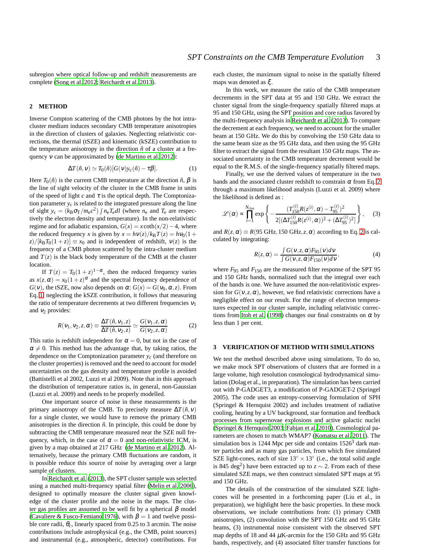subregion where optical follow-up and redshift measurements are complete [\(Song et al. 2012](#page-5-18); [Reichardt et al. 2013\)](#page-5-19).

# <span id="page-2-3"></span>**2 METHOD**

Inverse Compton scattering of the CMB photons by the hot intracluster medium induces secondary CMB temperature anisotropies in the direction of clusters of galaxies. Neglecting relativistic corrections, the thermal (tSZE) and kinematic (kSZE) contribution to the temperature anisotropy in the direction  $\hat{n}$  of a cluster at a frequency <sup>ν</sup> can be approximated by [\(de Martino et al. 2012](#page-4-3)):

<span id="page-2-0"></span>
$$
\Delta T(\hat{n}, v) \simeq T_0(\hat{n}) [G(v) y_c(\hat{n}) - \tau \beta]. \tag{1}
$$

Here  $T_0(\hat{n})$  is the current CMB temperature at the direction  $\hat{n}$ ,  $\beta$  is the line of sight velocity of the cluster in the CMB frame in units of the speed of light  $c$  and  $\tau$  is the optical depth. The Comptonization parameter  $y_c$  is related to the integrated pressure along the line of sight  $y_c = (k_B \sigma_T/m_e c^2) \int n_e T_e dl$  (where  $n_e$  and  $T_e$  are respectively the electron density and temperature). In the non-relativistic regime and for adiabatic expansion,  $G(x) = x \coth(x/2) - 4$ , where the reduced frequency *x* is given by  $x = h\nu(z)/k_BT(z) = h\nu_0(1 +$  $\frac{z}{kB}T_0(1+z) \equiv x_0$  and is independent of redshift,  $v(z)$  is the frequency of a CMB photon scattered by the intra-cluster medium and  $T(z)$  is the black body temperature of the CMB at the cluster location.

If  $T(z) = T_0(1+z)^{1-\alpha}$ , then the reduced frequency varies as  $x(z, \alpha) = x_0(1+z)^{\alpha}$  and the spectral frequency dependence of *G*(*v*), the tSZE, now also depends on  $\alpha$ : *G*(*x*) = *G*(*v*<sub>0</sub>, $\alpha$ ,*z*). From Eq. [1,](#page-2-0) neglecting the kSZE contribution, it follows that measuring the ratio of temperature decrements at two different frequencies  $v_1$ and  $v_2$  provides:

<span id="page-2-1"></span>
$$
R(v_1, v_2, z, \alpha) \equiv \frac{\Delta T(\hat{n}, v_1, z)}{\Delta T(\hat{n}, v_2, z)} \simeq \frac{G(v_1, z, \alpha)}{G(v_2, z, \alpha)} \tag{2}
$$

This ratio is redshift independent for  $\alpha = 0$ , but not in the case of  $\alpha \neq 0$ . This method has the advantage that, by taking ratios, the dependence on the Comptonization parameter  $y_c$  (and therefore on the cluster properties) is removed and the need to account for model uncertainties on the gas density and temperature profile is avoided (Battistelli et al 2002, Luzzi et al 2009). Note that in this approach the distribution of temperature ratios is, in general, non-Gaussian (Luzzi et al. 2009) and needs to be properly modelled.

One important source of noise in these measurements is the primary anisotropy of the CMB. To precisely measure  $\Delta T(\hat{n}, v)$ for a single cluster, we would have to remove the primary CMB anisotropies in the direction  $\hat{n}$ . In principle, this could be done by subtracting the CMB temperature measured near the SZE null frequency, which, in the case of  $\alpha = 0$  and non-relativistic ICM, is given by a map obtained at 217 GHz [\(de Martino et al. 2012](#page-4-3)). Alternatively, because the primary CMB fluctuations are random, it is possible reduce this source of noise by averaging over a large sample of clusters.

In [Reichardt et al.](#page-5-19) [\(2013](#page-5-19)), the SPT cluster sample was selected using a matched multi-frequency spatial filter [\(Melin et al.](#page-5-20) [2006](#page-5-20)), designed to optimally measure the cluster signal given knowledge of the cluster profile and the noise in the maps. The cluster gas profiles are assumed to be well fit by a spherical  $\beta$  model [\(Cavaliere & Fusco-Femiano 1976\)](#page-4-6), with  $\beta = 1$  and twelve possible core radii,  $\theta_c$ , linearly spaced from 0.25 to 3 arcmin. The noise contributions include astrophysical (e.g., the CMB, point sources) and instrumental (e.g., atmospheric, detector) contributions. For each cluster, the maximum signal to noise in the spatially filtered maps was denoted as ξ.

In this work, we measure the ratio of the CMB temperature decrements in the SPT data at 95 and 150 GHz. We extract the cluster signal from the single-frequency spatially filtered maps at 95 and 150 GHz, using the SPT position and core radius favored by the multi-frequency analysis in [Reichardt et al. \(2013\)](#page-5-19). To compare the decrement at each frequency, we need to account for the smaller beam at 150 GHz. We do this by convolving the 150 GHz data to the same beam size as the 95 GHz data, and then using the 95 GHz filter to extract the signal from the resultant 150 GHz maps. The associated uncertainty in the CMB temperature decrement would be equal to the R.M.S. of the single-frequency spatially filtered maps.

Finally, we use the derived values of temperature in the two bands and the associated cluster redshift to constrain  $\alpha$  from Eq. [2](#page-2-1) through a maximum likelihood analysis (Luzzi et al. 2009) where the likelihood is defined as :

<span id="page-2-2"></span>
$$
\mathcal{L}(\alpha) \propto \prod_{i=1}^{N_{\text{clus}}} \exp \left\{ -\frac{(T_{150}^{(i)}R(z^{(i)}, \alpha) - T_{95}^{(i)})^2}{2[(\Delta T_{150}^{(i)}R(z^{(i)}, \alpha))^2 + (\Delta T_{95}^{(i)})^2]} \right\},
$$
 (3)

and  $R(z, \alpha) \equiv R(95 \text{ GHz}, 150 \text{ GHz}, z, \alpha)$  according to Eq. [2](#page-2-1) is calculated by integrating:

$$
R(z, \alpha) = \frac{\int G(v, z, \alpha) F_{95}(v) dv}{\int G(v, z, \alpha) F_{150}(v) dv},
$$
\n(4)

where  $F_{95}$  and  $F_{150}$  are the measured filter response of the SPT 95 and 150 GHz bands, normalized such that the integral over each of the bands is one. We have assumed the non-relatitivistic expression for  $G(v, z, \alpha)$ , however, we find relativistic corrections have a negligible effect on our result. For the range of electron temperatures expected in our cluster sample, including relativistic correc-tions from [Itoh et al. \(1998\)](#page-5-21) changes our final constraints on  $\alpha$  by less than 1 per cent.

# <span id="page-2-4"></span>**3 VERIFICATION OF METHOD WITH SIMULATIONS**

We test the method described above using simulations. To do so, we make mock SPT observations of clusters that are formed in a large volume, high resolution cosmological hydrodynamical simulation (Dolag et al., in preparation). The simulation has been carried out with P-GADGET3, a modification of P-GADGET-2 (Springel 2005). The code uses an entropy-conserving formulation of SPH (Springel & Hernquist 2002) and includes treatment of radiative cooling, heating by a UV background, star formation and feedback processes from supernovae explosions and active galactic nuclei [\(Springel & Hernquist 2003](#page-5-22); [Fabjan et al. 2010\)](#page-5-23). Cosmological parameters are chosen to match WMAP7 [\(Komatsu et al. 2011](#page-5-24)). The simulation box is 1244 Mpc per side and contains  $1526<sup>3</sup>$  dark matter particles and as many gas particles, from which five simulated SZE light-cones, each of size  $13° \times 13°$  (i.e., the total solid angle is 845 deg<sup>2</sup>) have been extracted up to  $z \sim 2$ . From each of these simulated SZE maps, we then construct simulated SPT maps at 95 and 150 GHz.

The details of the construction of the simulated SZE lightcones will be presented in a forthcoming paper (Liu et al., in preparation), we highlight here the basic properties. In these mock observations, we include contributions from: (1) primary CMB anisotropies, (2) convolution with the SPT 150 GHz and 95 GHz beams, (3) instrumental noise consistent with the observed SPT map depths of 18 and 44  $\mu$ K-arcmin for the 150 GHz and 95 GHz bands, respectively, and (4) associated filter transfer functions for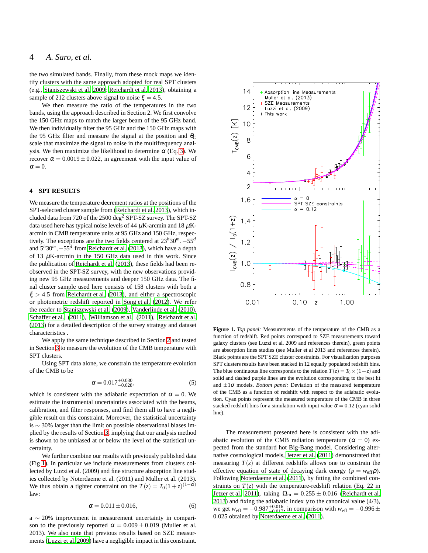the two simulated bands. Finally, from these mock maps we identify clusters with the same approach adopted for real SPT clusters (e.g., [Staniszewski et al. 2009;](#page-5-25) [Reichardt et al. 2013\)](#page-5-19), obtaining a sample of 212 clusters above signal to noise  $\xi = 4.5$ .

We then measure the ratio of the temperatures in the two bands, using the approach described in Section 2. We first convolve the 150 GHz maps to match the larger beam of the 95 GHz band. We then individually filter the 95 GHz and the 150 GHz maps with the 95 GHz filter and measure the signal at the position and  $\theta_C$ scale that maximize the signal to noise in the multifrequency analysis. We then maximize the likelihood to determine  $\alpha$  (Eq. [3\)](#page-2-2). We recover  $\alpha = 0.0019 \pm 0.022$ , in agreement with the input value of  $\alpha = 0$ .

#### **4 SPT RESULTS**

We measure the temperature decrement ratios at the positions of the SPT-selected cluster sample from [\(Reichardt et al. 2013](#page-5-19)), which included data from 720 of the 2500 deg<sup>2</sup> SPT-SZ survey. The SPT-SZ data used here has typical noise levels of 44  $\mu$ K-arcmin and 18  $\mu$ Karcmin in CMB temperature units at 95 GHz and 150 GHz, respectively. The exceptions are the two fields centered at  $23^h30^m$ , −55<sup>*d*</sup> and 5*h*30*m*,−55*<sup>d</sup>* from [Reichardt et al. \(2013](#page-5-19)), which have a depth of 13  $\mu$ K-arcmin in the 150 GHz data used in this work. Since the publication of [Reichardt et al. \(2013](#page-5-19)), these fields had been reobserved in the SPT-SZ survey, with the new observations providing new 95 GHz measurements and deeper 150 GHz data. The final cluster sample used here consists of 158 clusters with both a  $\xi > 4.5$  from [Reichardt et al. \(2013](#page-5-19)), and either a spectroscopic or photometric redshift reported in [Song et al.](#page-5-18) [\(2012](#page-5-18)). We refer the reader to [Staniszewski et al. \(2009](#page-5-25)), [Vanderlinde et al.](#page-5-26) [\(2010](#page-5-26)), [Schaffer et al. \(2011](#page-5-27)), [Williamson et al. \(2011](#page-5-28)), [Reichardt](#page-5-19) et al. [\(2013\)](#page-5-19) for a detailed description of the survey strategy and dataset characteristics .

We apply the same technique described in Section [2](#page-2-3) and tested in Section [3](#page-2-4) to measure the evolution of the CMB temperature with SPT clusters.

Using SPT data alone, we constrain the temperature evolution of the CMB to be

$$
\alpha = 0.017^{+0.030}_{-0.028},\tag{5}
$$

which is consistent with the adiabatic expectation of  $\alpha = 0$ . We estimate the instrumental uncertainties associated with the beams, calibration, and filter responses, and find them all to have a negligible result on this constraint. Moreover, the statistical uncertainty is ∼ 30% larger than the limit on possible observational biases implied by the results of Section [3,](#page-2-4) implying that our analysis method is shown to be unbiased at or below the level of the statistical uncertainty.

We further combine our results with previously published data (Fig [1\)](#page-3-0). In particular we include measurements from clusters collected by Luzzi et al. (2009) and fine structure absorption line studies collected by Noterdaeme et al. (2011) and Muller et al. (2013). We thus obtain a tighter constraint on the  $T(z) = T_0(1+z)^{(1-\alpha)}$ law:

$$
\alpha = 0.011 \pm 0.016, \tag{6}
$$

a ∼ 20% improvement in measurement uncertainty in comparison to the previously reported  $\alpha = 0.009 \pm 0.019$  (Muller et al. 2013). We also note that previous results based on SZE measurments [\(Luzzi et al. 2009\)](#page-5-12) have a negligible impact in this constraint.



<span id="page-3-0"></span>**Figure 1.** *Top panel:* Measurements of the temperature of the CMB as a function of redshift. Red points correspond to SZE measurements toward galaxy clusters (see Luzzi et al. 2009 and references therein), green points are absorption lines studies (see Muller et al 2013 and references therein). Black points are the SPT SZE cluster constraints. For visualization purposes SPT clusters results have been stacked in 12 equally populated redshift bins. The blue continuous line corresponds to the relation  $T(z) = T_0 \times (1+z)$  and solid and dashed purple lines are the evolution corresponding to the best fit and  $\pm 1\sigma$  models. *Bottom panel:* Deviation of the measured temperature of the CMB as a function of redshift with respect to the adiabatic evolution. Cyan points represent the measured temperature of the CMB in three stacked redshift bins for a simulation with input value  $\alpha = 0.12$  (cyan solid line).

The measurement presented here is consistent with the adiabatic evolution of the CMB radiation temperature ( $\alpha = 0$ ) expected from the standard hot Big-Bang model. Considering alternative cosmological models, [Jetzer et al. \(2011](#page-5-29)) demonstrated that measuring  $T(z)$  at different redshifts allows one to constrain the effective equation of state of decaying dark energy ( $p = w_{\text{eff}}\rho$ ). Following [Noterdaeme et al. \(2011\)](#page-5-16), by fitting the combined constraints on  $T(z)$  with the temperature-redshift relation (Eq. 22 in [Jetzer et al. 2011](#page-5-29)), taking  $\Omega_{\rm m} = 0.255 \pm 0.016$  [\(Reichardt et al.](#page-5-19) [2013](#page-5-19)) and fixing the adiabatic index  $\gamma$  to the canonical value (4/3), we get  $w_{\text{eff}} = -0.987_{-0.017}^{+0.016}$ , in comparison with  $w_{\text{eff}} = -0.996 \pm$ 0.025 obtained by [Noterdaeme et al. \(2011\)](#page-5-16).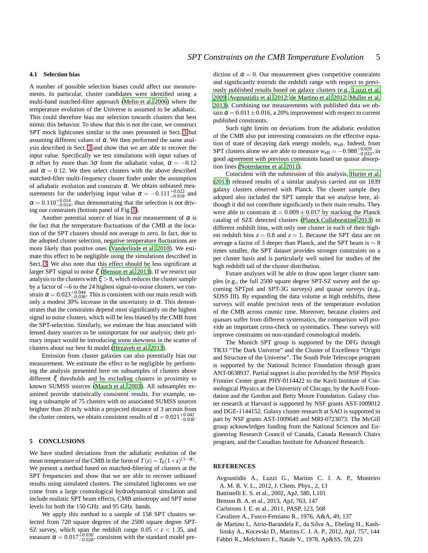### **4.1 Selection bias**

A number of possible selection biases could affect our measurements. In particular, cluster candidates were identified using a multi-band matched-filter approach [\(Melin et al. 2006](#page-5-20)) where the temperature evolution of the Universe is assumed to be adiabatic. This could therefore bias our selection towards clusters that best mimic this behavior. To show that this is not the case, we construct SPT mock lightcones similar to the ones presented in Sect. [3](#page-2-4) but assuming different values of  $\alpha$ . We then performed the same analysis described in Sect. [3](#page-2-4) and show that we are able to recover the input value. Specifically we test simulations with input values of α offset by more than 3σ from the adiabatic value,  $\alpha = -0.12$ and  $\alpha = 0.12$ . We then select clusters with the above described matched-filter multi-frequency cluster finder under the assumption of adiabatic evolution and constrain  $\alpha$ . We obtain unbiased measurements for the underlying input value  $\alpha = -0.111^{+0.022}_{-0.018}$  and  $\alpha = 0.110^{+0.014}_{-0.014}$ , thus demonstrating that the selection is not driving our constraints (bottom panel of Fig. [1\)](#page-3-0).

Another potential source of bias in our measurement of  $\alpha$  is the fact that the temperature fluctuations of the CMB at the location of the SPT clusters should not average to zero. In fact, due to the adopted cluster selection, negative temperature fluctuations are more likely than positive ones [\(Vanderlinde et al. 2010\)](#page-5-26). We estimate this effect to be negligible using the simulations described in Sect. [3.](#page-2-4) We also note that this effect should be less significant at larger SPT signal to noise ξ [\(Benson et al. 2013\)](#page-4-7). If we restrict our analysis to the clusters with  $\xi > 8$ , which reduces the cluster sample by a factor of ∼6 to the 24 highest signal-to-noise clusters, we constrain  $\alpha = 0.023^{+0.044}_{-0.038}$ . This is consistent with our main result with only a modest 30% increase in the uncertainty in  $\alpha$ . This demonstrates that the constraints depend most significantly on the highest signal to noise clusters, which will be less biased by the CMB from the SPT-selection. Similarly, we estimate the bias associated with lensed dusty sources to be unimportant for our analysis; their primary impact would be introducing some skewness in the scatter of clusters about our best fit model [\(Hezaveh et al. 2013](#page-5-30)).

Emission from cluster galaxies can also potentially bias our measurement. We estimate the effect to be negligible by performing the analysis presented here on subsamples of clusters above different ξ thresholds and by excluding clusters in proximity to known SUMSS sources [\(Mauch et al. 2003](#page-5-31)). All subsamples examined provide statistically consistent results. For example, using a subsample of 75 clusters with no associated SUMSS sources brighter than 20 mJy within a projected distance of 3 arcmin from the cluster centers, we obtain consistent results of  $\alpha = 0.021^{+0.042}_{-0.038}$ .

# <span id="page-4-4"></span>**5 CONCLUSIONS**

We have studied deviations from the adiabatic evolution of the mean temperature of the CMB in the form of  $T(z) = T_0(1+z)^{(1-\alpha)}$ . We present a method based on matched-filtering of clusters at the SPT frequencies and show that we are able to recover unbiased results using simulated clusters. The simulated lightcones we use come from a large cosmological hydrodynamical simulation and include realistic SPT beam effects, CMB anisotropy and SPT noise levels for both the 150 GHz and 95 GHz bands.

We apply this method to a sample of 158 SPT clusters selected from 720 square degrees of the 2500 square degree SPT-SZ survey, which span the redshift range  $0.05 < z < 1.35$ , and measure  $\alpha = 0.017_{-0.028}^{+0.030}$ , consistent with the standard model pre-

diction of  $\alpha = 0$ . Our measurement gives competitive constraints and significantly extends the redshift range with respect to previously published results based on galaxy clusters (e.g., [Luzzi et al.](#page-5-12) [2009](#page-5-12); [Avgoustidis et al. 2012;](#page-4-0) [de Martino et al. 2012](#page-4-3); [Muller](#page-5-17) et al. [2013](#page-5-17)). Combining our measurements with published data we obtain  $\alpha = 0.011 \pm 0.016$ , a 20% improvement with respect to current published constraints.

Such tight limits on deviations from the adiabatic evolution of the CMB also put interesting constraints on the effective equation of state of decaying dark energy models, *w*eff. Indeed, from SPT clusters alone we are able to measure  $w_{\text{eff}} = -0.988_{-0.033}^{+0.029}$ , in good agreement with previous constraints based on quasar absorption lines [\(Noterdaeme et al. 2011](#page-5-16)).

Coincident with the submission of this analysis, [Hurier et al.](#page-5-32) [\(2013](#page-5-32)) released results of a similar analysis carried out on 1839 galaxy clusters observed with Planck. The cluster sample they adopted also included the SPT sample that we analyse here, although it did not contribute significantly to their main results. They were able to constrain  $\alpha = 0.009 \pm 0.017$  by stacking the Planck catalog of SZE detected clusters [\(Planck Collaboration 2013](#page-5-33)) in different redshift bins, with only one cluster in each of their highest redshift bins  $z = 0.8$  and  $z = 1$ . Because the SPT data are on average a factor of 3 deeper than Planck, and the SPT beam is ∼ 8 times smaller, the SPT dataset provides stronger constraints on a per cluster basis and is particularly well suited for studies of the high redshift tail of the cluster distribution.

Future analyses will be able to draw upon larger cluster samples (e.g., the full 2500 square degree SPT-SZ survey and the upcoming SPTpol and SPT-3G surveys) and quasar surveys (e.g., SDSS III). By expanding the data volume at high redshifts, these surveys will enable precision tests of the temperature evolution of the CMB across cosmic time. Moreover, because clusters and quasars suffer from different systematics, the comparison will provide an important cross-check on systematics. These surveys will improve constraints on non-standard cosmological models.

The Munich SPT group is supported by the DFG through TR33 "The Dark Universe" and the Cluster of Excellence "Origin and Structure of the Universe". The South Pole Telescope program is supported by the National Science Foundation through grant ANT-0638937. Partial support is also provided by the NSF Physics Frontier Center grant PHY-0114422 to the Kavli Institute of Cosmological Physics at the University of Chicago, by the Kavli Foundation and the Gordon and Betty Moore Foundation. Galaxy cluster research at Harvard is supported by NSF grants AST-1009012 and DGE-1144152. Galaxy cluster research at SAO is supported in part by NSF grants AST-1009649 and MRI-0723073. The McGill group acknowledges funding from the National Sciences and Engineering Research Council of Canada, Canada Research Chairs program, and the Canadian Institute for Advanced Research.

## **REFERENCES**

- <span id="page-4-0"></span>Avgoustidis A., Luzzi G., Martins C. J. A. P., Monteiro A. M. R. V. L., 2012, J. Chem. Phys., 2, 13
- 
- <span id="page-4-2"></span>Battistelli E. S. et al., 2002, ApJ, 580, L101 Benson B. A. et al., 2013, ApJ, 763, 147
- <span id="page-4-7"></span><span id="page-4-5"></span>Carlstrom J. E. et al., 2011, PASP, 123, 568
- 
- <span id="page-4-6"></span>Cavaliere A., Fusco-Femiano R., 1976, A&A, 49, 137
- <span id="page-4-3"></span>de Martino I., Atrio-Barandela F., da Silva A., Ebeling H., Kashlinsky A., Kocevski D., Martins C. J. A. P., 2012, ApJ, 757, 144
- <span id="page-4-1"></span>Fabbri R., Melchiorri F., Natale V., 1978, Ap&SS, 59, 223